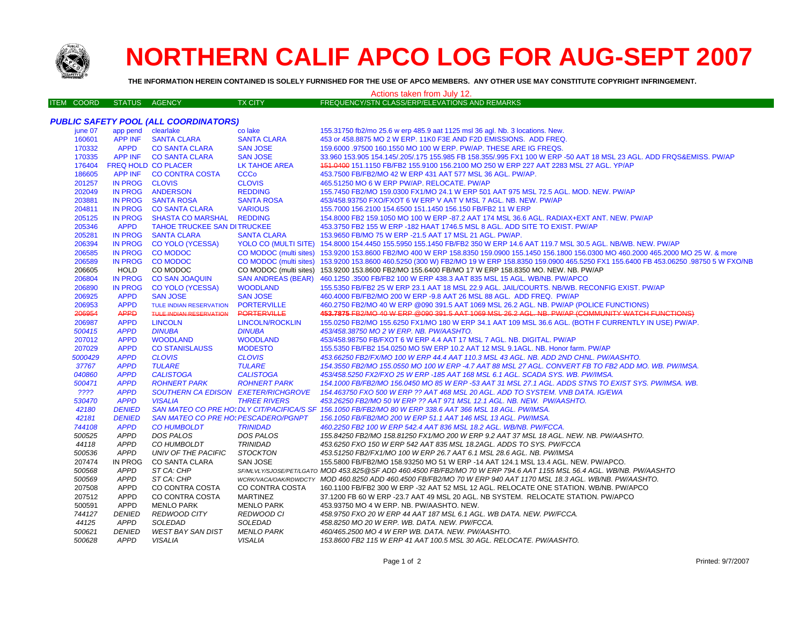

# **NORTHERN CALIF APCO LOG FOR AUG-SEPT 2007**

**THE INFORMATION HEREIN CONTAINED IS SOLELY FURNISHED FOR THE USE OF APCO MEMBERS. ANY OTHER USE MAY CONSTITUTE COPYRIGHT INFRINGEMENT.**

#### Actions taken from July 12.

|  | ITEM COORD | STATUS AGENCY |  | TX CITY | FREQUENCY/STN CLASS/ERP/ELEVATIONS AND REMARKS |  |
|--|------------|---------------|--|---------|------------------------------------------------|--|
|--|------------|---------------|--|---------|------------------------------------------------|--|

|         |                    | <b>PUBLIC SAFETY POOL (ALL COORDINATORS)</b> |                           |                                                                                                                                                  |
|---------|--------------------|----------------------------------------------|---------------------------|--------------------------------------------------------------------------------------------------------------------------------------------------|
| june 07 | app pend clearlake |                                              | co lake                   | 155.31750 fb2/mo 25.6 w erp 485.9 aat 1125 msl 36 agl. Nb. 3 locations. New.                                                                     |
| 160601  | <b>APP INF</b>     | <b>SANTA CLARA</b>                           | <b>SANTA CLARA</b>        | 453 or 458.8875 MO 2 W ERP. 11K0 F3E AND F2D EMISSIONS. ADD FREQ.                                                                                |
| 170332  | <b>APPD</b>        | <b>CO SANTA CLARA</b>                        | <b>SAN JOSE</b>           | 159,6000 .97500 160.1550 MO 100 W ERP. PW/AP. THESE ARE IG FREQS.                                                                                |
| 170335  |                    | APP INF CO SANTA CLARA                       | <b>SAN JOSE</b>           | 33.960 153.905 154.145/.205/.175 155.985 FB 158.355/.995 FX1 100 W ERP -50 AAT 18 MSL 23 AGL. ADD FRQS&EMISS. PW/AP                              |
| 176404  |                    | <b>FREQ HOLD CO PLACER</b>                   | <b>LK TAHOE AREA</b>      | 451.0400 151.1150 FB/FB2 155.9100 156.2100 MO 250 W ERP 227 AAT 2283 MSL 27 AGL. YP/AP                                                           |
| 186605  | <b>APP INF</b>     | <b>CO CONTRA COSTA</b>                       | <b>CCCo</b>               | 453.7500 FB/FB2/MO 42 W ERP 431 AAT 577 MSL 36 AGL. PW/AP.                                                                                       |
| 201257  | <b>IN PROG</b>     | <b>CLOVIS</b>                                | <b>CLOVIS</b>             | 465.51250 MO 6 W ERP PW/AP, RELOCATE, PW/AP                                                                                                      |
| 202049  | <b>IN PROG</b>     | <b>ANDERSON</b>                              | <b>REDDING</b>            | 155.7450 FB2/MO 159.0300 FX1/MO 24.1 W ERP 501 AAT 975 MSL 72.5 AGL. MOD. NEW. PW/AP                                                             |
| 203881  | <b>IN PROG</b>     | <b>SANTA ROSA</b>                            | <b>SANTA ROSA</b>         | 453/458.93750 FXO/FXOT 6 W ERP V AAT V MSL 7 AGL, NB, NEW, PW/AP                                                                                 |
| 204811  | <b>IN PROG</b>     | <b>CO SANTA CLARA</b>                        | <b>VARIOUS</b>            | 155.7000 156.2100 154.6500 151.1450 156.150 FB/FB2 11 W ERP                                                                                      |
| 205125  | <b>IN PROG</b>     | SHASTA CO MARSHAL REDDING                    |                           | 154.8000 FB2 159.1050 MO 100 W ERP -87.2 AAT 174 MSL 36.6 AGL. RADIAX+EXT ANT. NEW. PW/AP                                                        |
| 205346  | <b>APPD</b>        | TAHOE TRUCKEE SAN DITRUCKEE                  |                           | 453.3750 FB2 155 W ERP -182 HAAT 1746.5 MSL 8 AGL. ADD SITE TO EXIST. PW/AP                                                                      |
| 205281  | <b>IN PROG</b>     | <b>SANTA CLARA</b>                           | <b>SANTA CLARA</b>        | 153.9650 FB/MO 75 W ERP -21.5 AAT 17 MSL 21 AGL. PW/AP.                                                                                          |
| 206394  | <b>IN PROG</b>     | <b>CO YOLO (YCESSA)</b>                      |                           | YOLO CO (MULTI SITE) 154.8000 154.4450 155.5950 155.1450 FB/FB2 350 W ERP 14.6 AAT 119.7 MSL 30.5 AGL. NB/WB. NEW. PW/AP                         |
| 206585  | <b>IN PROG</b>     | <b>CO MODOC</b>                              |                           | CO MODOC (multi sites) 153.9200 153.8600 FB2/MO 400 W ERP 158.8350 159.0900 155.1450 156.1800 156.0300 MO 460.2000 465.2000 MO 25 W. & more      |
| 206589  | <b>IN PROG</b>     | <b>CO MODOC</b>                              |                           | CO MODOC (multi sites) 153.9200 153.8600 460.5250 (300 W) FB2/MO 19 W ERP 158.8350 159.0900 465.5250 FX1 155.6400 FB 453.06250 .98750 5 W FXO/NB |
| 206605  | <b>HOLD</b>        | CO MODOC                                     |                           | CO MODOC (multi sites) 153.9200 153.8600 FB2/MO 155.6400 FB/MO 17 W ERP 158.8350 MO. NEW. NB. PW/AP                                              |
| 206804  | <b>IN PROG</b>     | <b>CO SAN JOAQUIN</b>                        | <b>SAN ANDREAS (BEAR)</b> | 460.1250.3500 FB/FB2 100 W ERP 438.3 AAT 835 MSL 15 AGL. WB/NB. PW/APCO                                                                          |
| 206890  | <b>IN PROG</b>     | <b>CO YOLO (YCESSA)</b>                      | <b>WOODLAND</b>           | 155.5350 FB/FB2 25 W ERP 23.1 AAT 18 MSL 22.9 AGL. JAIL/COURTS. NB/WB. RECONFIG EXIST. PW/AP                                                     |
| 206925  | <b>APPD</b>        | <b>SAN JOSE</b>                              | <b>SAN JOSE</b>           | 460.4000 FB/FB2/MO 200 W ERP -9.8 AAT 26 MSL 88 AGL. ADD FREQ. PW/AP                                                                             |
| 206953  | <b>APPD</b>        | <b>TULE INDIAN RESERVATION</b>               | <b>PORTERVILLE</b>        | 460.2750 FB2/MO 40 W ERP @090 391.5 AAT 1069 MSL 26.2 AGL. NB. PW/AP (POLICE FUNCTIONS)                                                          |
| 206954  | <b>APPD</b>        | <b>TULE INDIAN RESERVATION</b>               | <b>PORTERVILLE</b>        | 453.7875 FB2/MO 40 W ERP @090 391.5 AAT 1069 MSL 26.2 AGL. NB. PW/AP (COMMUNITY WATCH FUNCTIONS)                                                 |
| 206987  | <b>APPD</b>        | <b>LINCOLN</b>                               | <b>LINCOLN/ROCKLIN</b>    | 155.0250 FB2/MO 155.6250 FX1/MO 180 W ERP 34.1 AAT 109 MSL 36.6 AGL. (BOTH F CURRENTLY IN USE) PW/AP.                                            |
| 500415  | <b>APPD</b>        | <b>DINUBA</b>                                | <b>DINUBA</b>             | 453/458.38750 MO 2 W ERP. NB. PW/AASHTO.                                                                                                         |
| 207012  | <b>APPD</b>        | <b>WOODLAND</b>                              | <b>WOODLAND</b>           | 453/458.98750 FB/FXOT 6 W ERP 4.4 AAT 17 MSL 7 AGL. NB. DIGITAL. PW/AP                                                                           |
| 207029  | <b>APPD</b>        | <b>CO STANISLAUSS</b>                        | <b>MODESTO</b>            | 155,5350 FB/FB2 154,0250 MO 5W ERP 10.2 AAT 12 MSL 9.1AGL, NB, Honor farm, PW/AP                                                                 |
| 5000429 | <b>APPD</b>        | <b>CLOVIS</b>                                | <b>CLOVIS</b>             | 453.66250 FB2/FX/MO 100 W ERP 44.4 AAT 110.3 MSL 43 AGL. NB. ADD 2ND CHNL. PW/AASHTO.                                                            |
| 37767   | <b>APPD</b>        | <b>TULARE</b>                                | <b>TULARE</b>             | 154.3550 FB2/MO 155.0550 MO 100 W ERP -4.7 AAT 88 MSL 27 AGL. CONVERT FB TO FB2 ADD MO. WB. PW/IMSA.                                             |
| 040860  | <b>APPD</b>        | <b>CALISTOGA</b>                             | <b>CALISTOGA</b>          | 453/458.5250 FX2/FXO 25 W ERP -185 AAT 168 MSL 6.1 AGL. SCADA SYS. WB. PW/IMSA.                                                                  |
| 500471  | <b>APPD</b>        | <b>ROHNERT PARK</b>                          | <b>ROHNERT PARK</b>       | 154.1000 FB/FB2/MO 156.0450 MO 85 W ERP -53 AAT 31 MSL 27.1 AGL. ADDS STNS TO EXIST SYS. PW/IMSA. WB.                                            |
| ????    | <b>APPD</b>        | SOUTHERN CA EDISON EXETER/RICHGROVE          |                           | 154.463750 FXO 500 W ERP ?? AAT 468 MSL 20 AGL. ADD TO SYSTEM. VNB DATA. IG/EWA                                                                  |
| 530470  | <b>APPD</b>        | <b>VISALIA</b>                               | <b>THREE RIVERS</b>       | 453.26250 FB2/MO 50 W ERP ?? AAT 971 MSL 12.1 AGL. NB. NEW. PW/AASHTO.                                                                           |
| 42180   | <b>DENIED</b>      |                                              |                           | SAN MATEO CO PRE HO: DLY CIT/PACIFICA/S SF 156.1050 FB/FB2/MO 80 W ERP 338.6 AAT 366 MSL 18 AGL. PW/IMSA.                                        |
| 42181   | <b>DENIED</b>      | SAN MATEO CO PRE HO: PESCADERO/PGNPT         |                           | 156.1050 FB/FB2/MO 200 W ERP 51.1 AAT 146 MSL 13 AGL. PW/IMSA.                                                                                   |
| 744108  | <b>APPD</b>        | <b>CO HUMBOLDT</b>                           | <b>TRINIDAD</b>           | 460.2250 FB2 100 W ERP 542.4 AAT 836 MSL 18.2 AGL. WB/NB. PW/FCCA.                                                                               |
| 500525  | <b>APPD</b>        | DOS PALOS                                    | <b>DOS PALOS</b>          | 155.84250 FB2/MO 158.81250 FX1/MO 200 W ERP 9.2 AAT 37 MSL 18 AGL. NEW. NB. PW/AASHTO.                                                           |
| 44118   | <b>APPD</b>        | CO HUMBOLDT                                  | <b>TRINIDAD</b>           | 453.6250 FXO 150 W ERP 542 AAT 835 MSL 18.2AGL. ADDS TO SYS. PW/FCCA                                                                             |
| 500536  | <b>APPD</b>        | UNIV OF THE PACIFIC                          | <b>STOCKTON</b>           | 453.51250 FB2/FX1/MO 100 W ERP 26.7 AAT 6.1 MSL 28.6 AGL. NB. PW/IMSA                                                                            |
| 207474  | IN PROG            | CO SANTA CLARA                               | SAN JOSE                  | 155.5800 FB/FB2/MO 158.93250 MO 51 W ERP -14 AAT 124.1 MSL 13.4 AGL. NEW. PW/APCO.                                                               |
| 500568  | <b>APPD</b>        | ST CA: CHP                                   |                           | SF/MLVLY/SJOSE/PET/LGATO MOD 453.825@SF ADD 460.4500 FB/FB2/MO 70 W ERP 794.6 AAT 1155 MSL 56.4 AGL. WB/NB. PW/AASHTO                            |
| 500569  | <b>APPD</b>        | ST CA: CHP                                   |                           | WCRKVACA/OAK/RDWDCTY MOD 460.8250 ADD 460.4500 FB/FB2/MO 70 W ERP 940 AAT 1170 MSL 18.3 AGL. WB/NB. PW/AASHTO.                                   |
| 207508  | <b>APPD</b>        | CO CONTRA COSTA                              | CO CONTRA COSTA           | 160.1100 FB/FB2 300 W ERP -32 AAT 52 MSL 12 AGL. RELOCATE ONE STATION. WB/NB. PW/APCO                                                            |
| 207512  | <b>APPD</b>        | CO CONTRA COSTA                              | <b>MARTINEZ</b>           | 37.1200 FB 60 W ERP -23.7 AAT 49 MSL 20 AGL. NB SYSTEM. RELOCATE STATION. PW/APCO                                                                |
| 500591  | APPD               | <b>MENLO PARK</b>                            | <b>MENLO PARK</b>         | 453.93750 MO 4 W ERP. NB. PW/AASHTO. NEW.                                                                                                        |
| 744127  | <b>DENIED</b>      | <b>REDWOOD CITY</b>                          | REDWOOD CI                | 458.9750 FXO 20 W ERP 44 AAT 187 MSL 6.1 AGL. WB DATA. NEW. PW/FCCA.                                                                             |
| 44125   | <b>APPD</b>        | <b>SOLEDAD</b>                               | SOLEDAD                   | 458.8250 MO 20 W ERP. WB. DATA. NEW. PW/FCCA.                                                                                                    |
| 500621  | <b>DENIED</b>      | <b>WEST BAY SAN DIST</b>                     | <b>MENLO PARK</b>         | 460/465.2500 MO 4 W ERP WB. DATA, NEW, PW/AASHTO.                                                                                                |
| 500628  | <b>APPD</b>        | <b>VISALIA</b>                               | <b>VISALIA</b>            | 153.8600 FB2 115 W ERP 41 AAT 100.5 MSL 30 AGL. RELOCATE. PW/AASHTO.                                                                             |